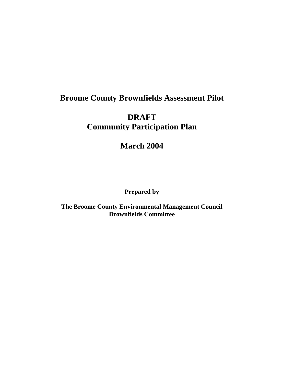## **Broome County Brownfields Assessment Pilot**

## **DRAFT Community Participation Plan**

**March 2004** 

**Prepared by** 

**The Broome County Environmental Management Council Brownfields Committee**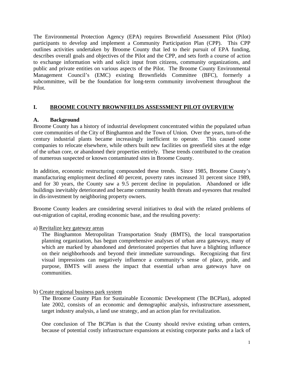The Environmental Protection Agency (EPA) requires Brownfield Assessment Pilot (Pilot) participants to develop and implement a Community Participation Plan (CPP). This CPP outlines activities undertaken by Broome County that led to their pursuit of EPA funding, describes overall goals and objectives of the Pilot and the CPP, and sets forth a course of action to exchange information with and solicit input from citizens, community organizations, and public and private entities on various aspects of the Pilot. The Broome County Environmental Management Council's (EMC) existing Brownfields Committee (BFC), formerly a subcommittee, will be the foundation for long-term community involvement throughout the Pilot.

## **I. BROOME COUNTY BROWNFIELDS ASSESSMENT PILOT OVERVIEW**

## **A. Background**

Broome County has a history of industrial development concentrated within the populated urban core communities of the City of Binghamton and the Town of Union. Over the years, turn-of-the century industrial plants became increasingly inefficient to operate. This caused some companies to relocate elsewhere, while others built new facilities on greenfield sites at the edge of the urban core, or abandoned their properties entirely. These trends contributed to the creation of numerous suspected or known contaminated sites in Broome County.

In addition, economic restructuring compounded these trends. Since 1985, Broome County's manufacturing employment declined 40 percent, poverty rates increased 31 percent since 1989, and for 30 years, the County saw a 9.5 percent decline in population. Abandoned or idle buildings inevitably deteriorated and became community health threats and eyesores that resulted in dis-investment by neighboring property owners.

Broome County leaders are considering several initiatives to deal with the related problems of out-migration of capital, eroding economic base, and the resulting poverty:

## a) Revitalize key gateway areas

The Binghamton Metropolitan Transportation Study (BMTS), the local transportation planning organization, has begun comprehensive analyses of urban area gateways, many of which are marked by abandoned and deteriorated properties that have a blighting influence on their neighborhoods and beyond their immediate surroundings. Recognizing that first visual impressions can negatively influence a community's sense of place, pride, and purpose, BMTS will assess the impact that essential urban area gateways have on communities.

## b) Create regional business park system

The Broome County Plan for Sustainable Economic Development (The BCPlan), adopted late 2002, consists of an economic and demographic analysis, infrastructure assessment, target industry analysis, a land use strategy, and an action plan for revitalization.

One conclusion of The BCPlan is that the County should revive existing urban centers, because of potential costly infrastructure expansions at existing corporate parks and a lack of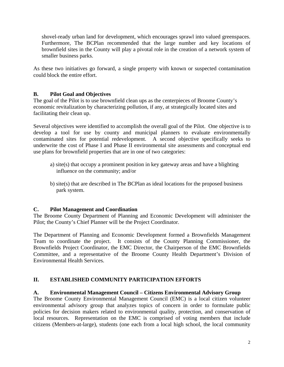shovel-ready urban land for development, which encourages sprawl into valued greenspaces. Furthermore, The BCPlan recommended that the large number and key locations of brownfield sites in the County will play a pivotal role in the creation of a network system of smaller business parks.

As these two initiatives go forward, a single property with known or suspected contamination could block the entire effort.

## **B. Pilot Goal and Objectives**

The goal of the Pilot is to use brownfield clean ups as the centerpieces of Broome County's economic revitalization by characterizing pollution, if any, at strategically located sites and facilitating their clean up.

Several objectives were identified to accomplish the overall goal of the Pilot. One objective is to develop a tool for use by county and municipal planners to evaluate environmentally contaminated sites for potential redevelopment. A second objective specifically seeks to underwrite the cost of Phase I and Phase II environmental site assessments and conceptual end use plans for brownfield properties that are in one of two categories:

- a) site(s) that occupy a prominent position in key gateway areas and have a blighting influence on the community; and/or
- b) site(s) that are described in The BCPlan as ideal locations for the proposed business park system.

## **C. Pilot Management and Coordination**

The Broome County Department of Planning and Economic Development will administer the Pilot; the County's Chief Planner will be the Project Coordinator.

The Department of Planning and Economic Development formed a Brownfields Management Team to coordinate the project. It consists of the County Planning Commissioner, the Brownfields Project Coordinator, the EMC Director, the Chairperson of the EMC Brownfields Committee, and a representative of the Broome County Health Department's Division of Environmental Health Services.

## **II. ESTABLISHED COMMUNITY PARTICIPATION EFFORTS**

#### **A. Environmental Management Council – Citizens Environmental Advisory Group**

The Broome County Environmental Management Council (EMC) is a local citizen volunteer environmental advisory group that analyzes topics of concern in order to formulate public policies for decision makers related to environmental quality, protection, and conservation of local resources. Representation on the EMC is comprised of voting members that include citizens (Members-at-large), students (one each from a local high school, the local community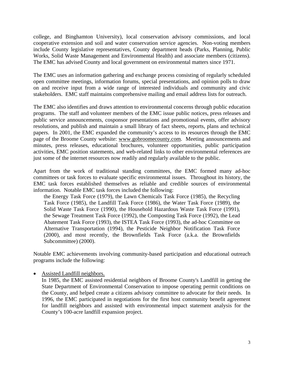college, and Binghamton University), local conservation advisory commissions, and local cooperative extension and soil and water conservation service agencies. Non-voting members include County legislative representatives, County department heads (Parks, Planning, Public Works, Solid Waste Management and Environmental Health) and associate members (citizens). The EMC has advised County and local government on environmental matters since 1971.

The EMC uses an information gathering and exchange process consisting of regularly scheduled open committee meetings, information forums, special presentations, and opinion polls to draw on and receive input from a wide range of interested individuals and community and civic stakeholders. EMC staff maintains comprehensive mailing and email address lists for outreach.

The EMC also identifies and draws attention to environmental concerns through public education programs. The staff and volunteer members of the EMC issue public notices, press releases and public service announcements, cosponsor presentations and promotional events, offer advisory resolutions, and publish and maintain a small library of fact sheets, reports, plans and technical papers. In 2001, the EMC expanded the community's access to its resources through the EMC page of the Broome County website: www.gobroomecounty.com. Meeting announcements and minutes, press releases, educational brochures, volunteer opportunities, public participation activities, EMC position statements, and web-related links to other environmental references are just some of the internet resources now readily and regularly available to the public.

Apart from the work of traditional standing committees, the EMC formed many ad-hoc committees or task forces to evaluate specific environmental issues. Throughout its history, the EMC task forces established themselves as reliable and credible sources of environmental information. Notable EMC task forces included the following:

the Energy Task Force (1979), the Lawn Chemicals Task Force (1985), the Recycling Task Force (1985), the Landfill Task Force (1986), the Water Task Force (1989), the Solid Waste Task Force (1990), the Household Hazardous Waste Task Force (1991), the Sewage Treatment Task Force (1992), the Composting Task Force (1992), the Lead Abatement Task Force (1993), the ISTEA Task Force (1993), the ad-hoc Committee on Alternative Transportation (1994), the Pesticide Neighbor Notification Task Force (2000), and most recently, the Brownfields Task Force (a.k.a. the Brownfields Subcommittee) (2000).

Notable EMC achievements involving community-based participation and educational outreach programs include the following:

#### • Assisted Landfill neighbors.

 In 1985, the EMC assisted residential neighbors of Broome County's Landfill in getting the State Department of Environmental Conservation to impose operating permit conditions on the County, and helped create a citizens advisory committee to advocate for their needs. In 1996, the EMC participated in negotiations for the first host community benefit agreement for landfill neighbors and assisted with environmental impact statement analysis for the County's 100-acre landfill expansion project.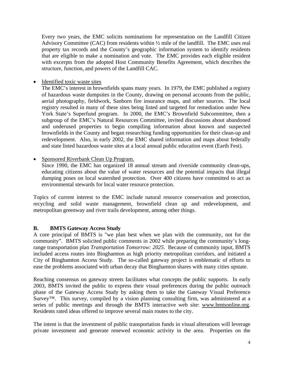Every two years, the EMC solicits nominations for representation on the Landfill Citizen Advisory Committee (CAC) from residents within ½ mile of the landfill. The EMC uses real property tax records and the County's geographic information system to identify residents that are eligible to make a nomination and vote. The EMC provides each eligible resident with excerpts from the adopted Host Community Benefits Agreement, which describes the structure, function, and powers of the Landfill CAC.

• Identified toxic waste sites

 The EMC's interest in brownfields spans many years. In 1979, the EMC published a registry of hazardous waste dumpsites in the County, drawing on personal accounts from the public, aerial photography, fieldwork, Sanborn fire insurance maps, and other sources. The local registry resulted in many of these sites being listed and targeted for remediation under New York State's Superfund program. In 2000, the EMC's Brownfield Subcommittee, then a subgroup of the EMC's Natural Resources Committee, invited discussions about abandoned and underused properties to begin compiling information about known and suspected brownfields in the County and began researching funding opportunities for their clean-up and redevelopment. Also, in early 2002, the EMC shared information and maps about federally and state listed hazardous waste sites at a local annual public education event (Earth Fest).

### • Sponsored Riverbank Clean Up Program.

 Since 1990, the EMC has organized 18 annual stream and riverside community clean-ups, educating citizens about the value of water resources and the potential impacts that illegal dumping poses on local watershed protection. Over 400 citizens have committed to act as environmental stewards for local water resource protection.

Topics of current interest to the EMC include natural resource conservation and protection, recycling and solid waste management, brownfield clean up and redevelopment, and metropolitan greenway and river trails development, among other things.

## **B. BMTS Gateway Access Study**

A core principal of BMTS is "we plan best when we plan with the community, not for the community". BMTS solicited public comments in 2002 while preparing the community's longrange transportation plan *Transportation Tomorrow: 2025*. Because of community input, BMTS included access routes into Binghamton as high priority metropolitan corridors, and initiated a City of Binghamton Access Study. The so-called gateway project is emblematic of efforts to ease the problems associated with urban decay that Binghamton shares with many cities upstate.

Reaching consensus on gateway streets facilitates what concepts the public supports. In early 2003, BMTS invited the public to express their visual preferences during the public outreach phase of the Gateway Access Study by asking them to take the Gateway Visual Preference Survey™. This survey, compiled by a vision planning consulting firm, was administered at a series of public meetings and through the BMTS interactive web site: www.bmtsonline.org. Residents rated ideas offered to improve several main routes to the city.

The intent is that the investment of public transportation funds in visual alterations will leverage private investment and generate renewed economic activity in the area. Properties on the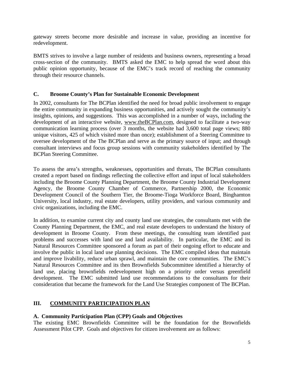gateway streets become more desirable and increase in value, providing an incentive for redevelopment.

BMTS strives to involve a large number of residents and business owners, representing a broad cross-section of the community. BMTS asked the EMC to help spread the word about this public opinion opportunity, because of the EMC's track record of reaching the community through their resource channels.

### **C. Broome County's Plan for Sustainable Economic Development**

In 2002, consultants for The BCPlan identified the need for broad public involvement to engage the entire community in expanding business opportunities, and actively sought the community's insights, opinions, and suggestions. This was accomplished in a number of ways, including the development of an interactive website, www.theBCPlan.com, designed to facilitate a two-way communication learning process (over 3 months, the website had 3,600 total page views; 880 unique visitors, 425 of which visited more than once); establishment of a Steering Committee to oversee development of the The BCPlan and serve as the primary source of input; and through consultant interviews and focus group sessions with community stakeholders identified by The BCPlan Steering Committee.

To assess the area's strengths, weaknesses, opportunities and threats, The BCPlan consultants created a report based on findings reflecting the collective effort and input of local stakeholders including the Broome County Planning Department, the Broome County Industrial Development Agency, the Broome County Chamber of Commerce, Partnership 2000, the Economic Development Council of the Southern Tier, the Broome-Tioga Workforce Board, Binghamton University, local industry, real estate developers, utility providers, and various community and civic organizations, including the EMC.

In addition, to examine current city and county land use strategies, the consultants met with the County Planning Department, the EMC, and real estate developers to understand the history of development in Broome County. From these meetings, the consulting team identified past problems and successes with land use and land availability. In particular, the EMC and its Natural Resources Committee sponsored a forum as part of their ongoing effort to educate and involve the public in local land use planning decisions. The EMC compiled ideas that maintain and improve livability, reduce urban sprawl, and maintain the core communities. The EMC's Natural Resources Committee and its then Brownfields Subcommittee identified a hierarchy of land use, placing brownfields redevelopment high on a priority order versus greenfield development. The EMC submitted land use recommendations to the consultants for their consideration that became the framework for the Land Use Strategies component of The BCPlan.

## **III. COMMUNITY PARTICIPATION PLAN**

## **A. Community Participation Plan (CPP) Goals and Objectives**

The existing EMC Brownfields Committee will be the foundation for the Brownfields Assessment Pilot CPP. Goals and objectives for citizen involvement are as follows: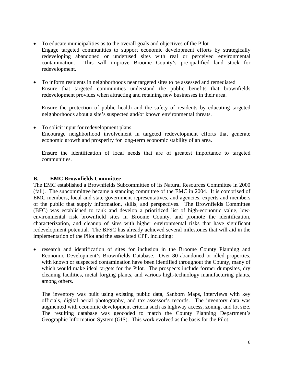- To educate municipalities as to the overall goals and objectives of the Pilot Engage targeted communities to support economic development efforts by strategically redeveloping abandoned or underused sites with real or perceived environmental contamination. This will improve Broome County's pre-qualified land stock for
- To inform residents in neighborhoods near targeted sites to be assessed and remediated Ensure that targeted communities understand the public benefits that brownfields redevelopment provides when attracting and retaining new businesses in their area.

Ensure the protection of public health and the safety of residents by educating targeted neighborhoods about a site's suspected and/or known environmental threats.

• To solicit input for redevelopment plans Encourage neighborhood involvement in targeted redevelopment efforts that generate economic growth and prosperity for long-term economic stability of an area.

Ensure the identification of local needs that are of greatest importance to targeted communities.

## **B. EMC Brownfields Committee**

redevelopment.

The EMC established a Brownfields Subcommittee of its Natural Resources Committee in 2000 (fall). The subcommittee became a standing committee of the EMC in 2004. It is comprised of EMC members, local and state government representatives, and agencies, experts and members of the public that supply information, skills, and perspectives. The Brownfields Committee (BFC) was established to rank and develop a prioritized list of high-economic value, lowenvironmental risk brownfield sites in Broome County, and promote the identification, characterization, and cleanup of sites with higher environmental risks that have significant redevelopment potential. The BFSC has already achieved several milestones that will aid in the implementation of the Pilot and the associated CPP, including:

• research and identification of sites for inclusion in the Broome County Planning and Economic Development's Brownfields Database. Over 80 abandoned or idled properties, with known or suspected contamination have been identified throughout the County, many of which would make ideal targets for the Pilot. The prospects include former dumpsites, dry cleaning facilities, metal forging plants, and various high-technology manufacturing plants, among others.

The inventory was built using existing public data, Sanborn Maps, interviews with key officials, digital aerial photography, and tax assessor's records. The inventory data was augmented with economic development criteria such as highway access, zoning, and lot size. The resulting database was geocoded to match the County Planning Department's Geographic Information System (GIS). This work evolved as the basis for the Pilot.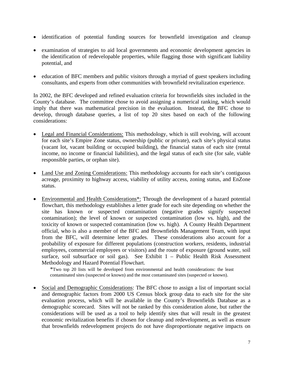- identification of potential funding sources for brownfield investigation and cleanup
- examination of strategies to aid local governments and economic development agencies in the identification of redevelopable properties, while flagging those with significant liability potential, and
- education of BFC members and public visitors through a myriad of guest speakers including consultants, and experts from other communities with brownfield revitalization experience.

In 2002, the BFC developed and refined evaluation criteria for brownfields sites included in the County's database. The committee chose to avoid assigning a numerical ranking, which would imply that there was mathematical precision in the evaluation. Instead, the BFC chose to develop, through database queries, a list of top 20 sites based on each of the following considerations:

- Legal and Financial Considerations: This methodology, which is still evolving, will account for each site's Empire Zone status, ownership (public or private), each site's physical status (vacant lot, vacant building or occupied building), the financial status of each site (rental income, no income or financial liabilities), and the legal status of each site (for sale, viable responsible parties, or orphan site).
- Land Use and Zoning Considerations: This methodology accounts for each site's contiguous acreage, proximity to highway access, viability of utility access, zoning status, and EnZone status.
- Environmental and Health Considerations<sup>\*</sup>: Through the development of a hazard potential flowchart, this methodology establishes a letter grade for each site depending on whether the site has known or suspected contamination (negative grades signify suspected contamination); the level of known or suspected contamination (low vs. high), and the toxicity of known or suspected contamination (low vs. high). A County Health Department official, who is also a member of the BFC and Brownfields Management Team, with input from the BFC, will determine letter grades. These considerations also account for a probability of exposure for different populations (construction workers, residents, industrial employees, commercial employees or visitors) and the route of exposure (ground water, soil surface, soil subsurface or soil gas). See Exhibit 1 – Public Health Risk Assessment Methodology and Hazard Potential Flowchart.

\*Two top 20 lists will be developed from environmental and health considerations: the least contaminated sites (suspected or known) and the most contaminated sites (suspected or known).

• Social and Demographic Considerations: The BFC chose to assign a list of important social and demographic factors from 2000 US Census block group data to each site for the site evaluation process, which will be available in the County's Brownfields Database as a demographic scorecard. Sites will not be ranked by this consideration alone, but rather the considerations will be used as a tool to help identify sites that will result in the greatest economic revitalization benefits if chosen for cleanup and redevelopment, as well as ensure that brownfields redevelopment projects do not have disproportionate negative impacts on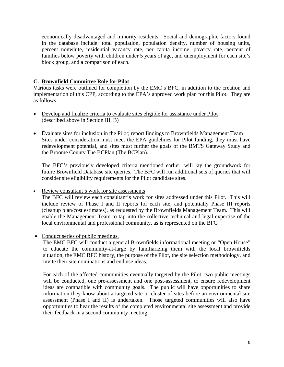economically disadvantaged and minority residents. Social and demographic factors found in the database include: total population, population density, number of housing units, percent nonwhite, residential vacancy rate, per capita income, poverty rate, percent of families below poverty with children under 5 years of age, and unemployment for each site's block group, and a comparison of each.

## **C. Brownfield Committee Role for Pilot**

Various tasks were outlined for completion by the EMC's BFC, in addition to the creation and implementation of this CPP, according to the EPA's approved work plan for this Pilot. They are as follows:

- Develop and finalize criteria to evaluate sites eligible for assistance under Pilot (described above in Section III, B)
- Evaluate sites for inclusion in the Pilot; report findings to Brownfields Management Team Sites under consideration must meet the EPA guidelines for Pilot funding, they must have redevelopment potential, and sites must further the goals of the BMTS Gateway Study and the Broome County The BCPlan (The BCPlan).

The BFC's previously developed criteria mentioned earlier, will lay the groundwork for future Brownfield Database site queries. The BFC will run additional sets of queries that will consider site eligibility requirements for the Pilot candidate sites.

• Review consultant's work for site assessments

The BFC will review each consultant's work for sites addressed under this Pilot. This will include review of Phase I and II reports for each site, and potentially Phase III reports (cleanup plan/cost estimates), as requested by the Brownfields Management Team. This will enable the Management Team to tap into the collective technical and legal expertise of the local environmental and professional community, as is represented on the BFC.

• Conduct series of public meetings.

The EMC BFC will conduct a general Brownfields informational meeting or "Open House" to educate the community-at-large by familiarizing them with the local brownfields situation, the EMC BFC history, the purpose of the Pilot, the site selection methodology, and invite their site nominations and end use ideas.

For each of the affected communities eventually targeted by the Pilot, two public meetings will be conducted, one pre-assessment and one post-assessment, to ensure redevelopment ideas are compatible with community goals. The public will have opportunities to share information they know about a targeted site or cluster of sites before an environmental site assessment (Phase I and II) is undertaken. Those targeted communities will also have opportunities to hear the results of the completed environmental site assessment and provide their feedback in a second community meeting.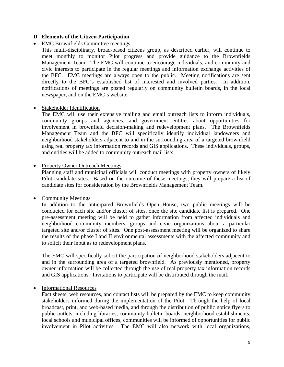### **D. Elements of the Citizen Participation**

## • EMC Brownfields Committee meetings

This multi-disciplinary, broad-based citizens group, as described earlier, will continue to meet monthly to monitor Pilot progress and provide guidance to the Brownfields Management Team. The EMC will continue to encourage individuals, and community and civic interests to participate in the regular meetings and information exchange activities of the BFC. EMC meetings are always open to the public. Meeting notifications are sent directly to the BFC's established list of interested and involved parties. In addition, notifications of meetings are posted regularly on community bulletin boards, in the local newspaper, and on the EMC's website.

#### • Stakeholder Identification

The EMC will use their extensive mailing and email outreach lists to inform individuals, community groups and agencies, and government entities about opportunities for involvement in brownfield decision-making and redevelopment plans. The Brownfields Management Team and the BFC will specifically identify individual landowners and neighborhood stakeholders adjacent to and in the surrounding area of a targeted brownfield using real property tax information records and GIS applications. These individuals, groups, and entities will be added to community outreach mail lists.

#### • Property Owner Outreach Meetings

Planning staff and municipal officials will conduct meetings with property owners of likely Pilot candidate sites. Based on the outcome of these meetings, they will prepare a list of candidate sites for consideration by the Brownfields Management Team.

#### • Community Meetings

In addition to the anticipated Brownfields Open House, two public meetings will be conducted for each site and/or cluster of sites, once the site candidate list is prepared. One pre-assessment meeting will be held to gather information from affected individuals and neighborhood community members, groups and civic organizations about a particular targeted site and/or cluster of sites. One post-assessment meeting will be organized to share the results of the phase I and II environmental assessments with the affected community and to solicit their input as to redevelopment plans.

The EMC will specifically solicit the participation of neighborhood stakeholders adjacent to and in the surrounding area of a targeted brownfield. As previously mentioned, property owner information will be collected through the use of real property tax information records and GIS applications. Invitations to participate will be distributed through the mail.

## • Informational Resources

Fact sheets, web resources, and contact lists will be prepared by the EMC to keep community stakeholders informed during the implementation of the Pilot. Through the help of local broadcast, print, and web-based media, and through the distribution of public notice flyers to public outlets, including libraries, community bulletin boards, neighborhood establishments, local schools and municipal offices, communities will be informed of opportunities for public involvement in Pilot activities. The EMC will also network with local organizations,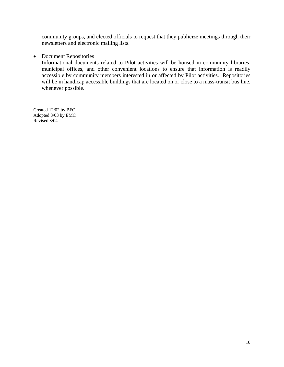community groups, and elected officials to request that they publicize meetings through their newsletters and electronic mailing lists.

### • Document Repositories

Informational documents related to Pilot activities will be housed in community libraries, municipal offices, and other convenient locations to ensure that information is readily accessible by community members interested in or affected by Pilot activities. Repositories will be in handicap accessible buildings that are located on or close to a mass-transit bus line, whenever possible.

Created 12/02 by BFC Adopted 3/03 by EMC Revised 3/04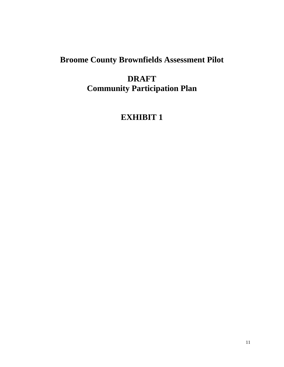# **Broome County Brownfields Assessment Pilot**

## **DRAFT Community Participation Plan**

# **EXHIBIT 1**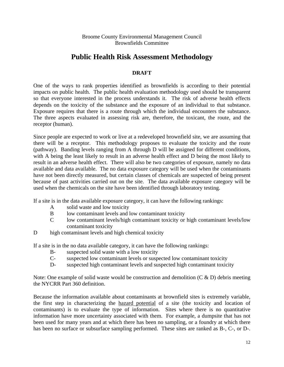Broome County Environmental Management Council Brownfields Committee

## **Public Health Risk Assessment Methodology**

## **DRAFT**

One of the ways to rank properties identified as brownfields is according to their potential impacts on public health. The public health evaluation methodology used should be transparent so that everyone interested in the process understands it. The risk of adverse health effects depends on the toxicity of the substance and the exposure of an individual to that substance. Exposure requires that there is a route through which the individual encounters the substance. The three aspects evaluated in assessing risk are, therefore, the toxicant, the route, and the receptor (human).

Since people are expected to work or live at a redeveloped brownfield site, we are assuming that there will be a receptor. This methodology proposes to evaluate the toxicity and the route (pathway). Banding levels ranging from A through D will be assigned for different conditions, with A being the least likely to result in an adverse health effect and D being the most likely to result in an adverse health effect. There will also be two categories of exposure, namely no data available and data available. The no data exposure category will be used when the contaminants have not been directly measured, but certain classes of chemicals are suspected of being present because of past activities carried out on the site. The data available exposure category will be used when the chemicals on the site have been identified through laboratory testing.

If a site is in the data available exposure category, it can have the following rankings:

- A solid waste and low toxicity
- B low contaminant levels and low contaminant toxicity
- C low contaminant levels/high contaminant toxicity or high contaminant levels/low contaminant toxicity
- D high contaminant levels and high chemical toxicity

If a site is in the no data available category, it can have the following rankings:

- B- suspected solid waste with a low toxicity
- C- suspected low contaminant levels or suspected low contaminant toxicity
- D- suspected high contaminant levels and suspected high contaminant toxicity

Note: One example of solid waste would be construction and demolition  $(C & D)$  debris meeting the NYCRR Part 360 definition.

Because the information available about contaminants at brownfield sites is extremely variable, the first step in characterizing the hazard potential of a site (the toxicity and location of contaminants) is to evaluate the type of information. Sites where there is no quantitative information have more uncertainty associated with them. For example, a dumpsite that has not been used for many years and at which there has been no sampling, or a foundry at which there has been no surface or subsurface sampling performed. These sites are ranked as B-, C-, or D-.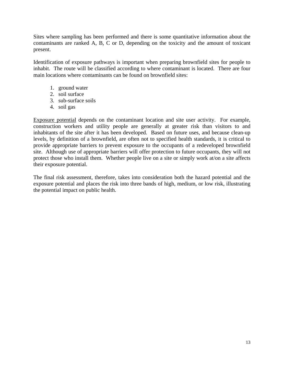Sites where sampling has been performed and there is some quantitative information about the contaminants are ranked A, B, C or D, depending on the toxicity and the amount of toxicant present.

Identification of exposure pathways is important when preparing brownfield sites for people to inhabit. The route will be classified according to where contaminant is located. There are four main locations where contaminants can be found on brownfield sites:

- 1. ground water
- 2. soil surface
- 3. sub-surface soils
- 4. soil gas

Exposure potential depends on the contaminant location and site user activity. For example, construction workers and utility people are generally at greater risk than visitors to and inhabitants of the site after it has been developed. Based on future uses, and because clean-up levels, by definition of a brownfield, are often not to specified health standards, it is critical to provide appropriate barriers to prevent exposure to the occupants of a redeveloped brownfield site. Although use of appropriate barriers will offer protection to future occupants, they will not protect those who install them. Whether people live on a site or simply work at/on a site affects their exposure potential.

The final risk assessment, therefore, takes into consideration both the hazard potential and the exposure potential and places the risk into three bands of high, medium, or low risk, illustrating the potential impact on public health.